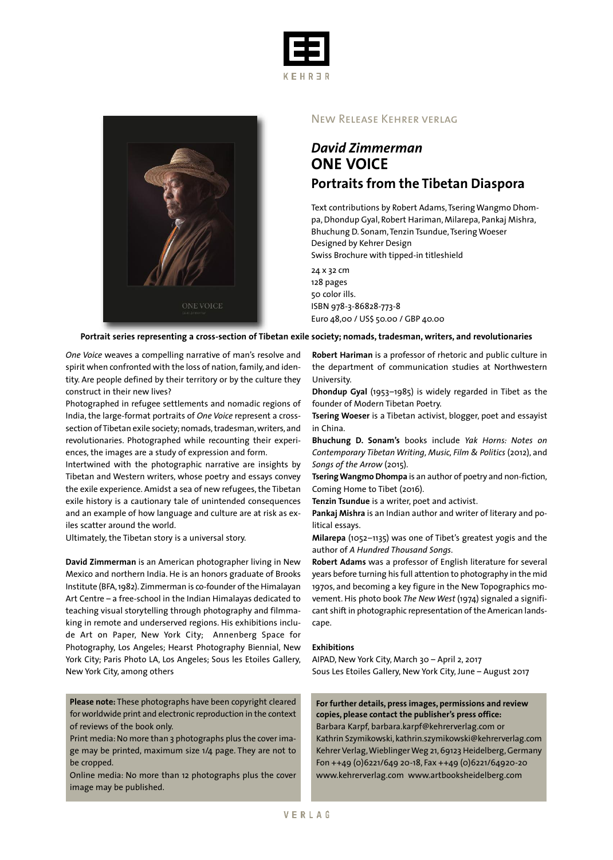



### New Release Kehrer verlag

## *David Zimmerman* **ONE VOICE Portraits from the Tibetan Diaspora**

Text contributions by Robert Adams, Tsering Wangmo Dhompa,Dhondup Gyal, Robert Hariman, Milarepa, Pankaj Mishra, Bhuchung D. Sonam, Tenzin Tsundue, Tsering Woeser Designed by Kehrer Design Swiss Brochure with tipped-in titleshield

24 x 32 cm 128 pages 50 color ills. ISBN 978-3-86828-773-8 Euro 48,00 / US\$ 50.00 / GBP 40.00

#### **Portrait series representing a cross-section of Tibetan exile society; nomads, tradesman, writers, and revolutionaries**

*One Voice* weaves a compelling narrative of man's resolve and spirit when confronted with the loss of nation, family, and identity. Are people defined by their territory or by the culture they construct in their new lives?

Photographed in refugee settlements and nomadic regions of India,the large-format portraits of *One Voice* represent a crosssection of Tibetan exile society; nomads, tradesman, writers, and revolutionaries. Photographed while recounting their experiences, the images are a study of expression and form.

Intertwined with the photographic narrative are insights by Tibetan and Western writers, whose poetry and essays convey the exile experience. Amidst a sea of new refugees, the Tibetan exile history is a cautionary tale of unintended consequences and an example of how language and culture are at risk as exiles scatter around the world.

Ultimately, the Tibetan story is a universal story.

**David Zimmerman** is an American photographer living in New Mexico and northern India. He is an honors graduate of Brooks Institute (BFA,1982).Zimmerman is co-founder of the Himalayan Art Centre – a free-school in the Indian Himalayas dedicated to teaching visual storytelling through photography and filmmaking in remote and underserved regions. His exhibitions include Art on Paper, New York City; Annenberg Space for Photography, Los Angeles; Hearst Photography Biennial, New York City; Paris Photo LA, Los Angeles; Sous les Etoiles Gallery, New York City, among others

**Please note:** These photographs have been copyright cleared for worldwide print and electronic reproduction in the context of reviews of the book only.

Print media:No more than 3 photographs plus the cover image may be printed, maximum size 1/4 page. They are not to be cropped.

Online media: No more than 12 photographs plus the cover image may be published.

**Robert Hariman** is a professor of rhetoric and public culture in the department of communication studies at Northwestern University.

**Dhondup Gyal** (1953–1985) is widely regarded in Tibet as the founder of Modern Tibetan Poetry.

**Tsering Woeser** is a Tibetan activist, blogger, poet and essayist in China.

**Bhuchung D. Sonam's** books include *Yak Horns: Notes on Contemporary Tibetan Writing, Music, Film & Politics* (2012), and *Songs of the Arrow* (2015).

**TseringWangmo Dhompa** is an author of poetry and non-fiction, Coming Home to Tibet (2016).

**Tenzin Tsundue** is a writer, poet and activist.

**Pankaj Mishra** is an Indian author and writer of literary and political essays.

**Milarepa** (1052–1135) was one of Tibet's greatest yogis and the author of *A Hundred Thousand Songs*.

**Robert Adams** was a professor of English literature for several years before turning his full attention to photography in the mid 1970s, and becoming a key figure in the New Topographics movement. His photo book *The New West* (1974) signaled a significant shift in photographic representation of the American landscape.

#### **Exhibitions**

AIPAD, New York City, March 30 – April 2, 2017 Sous Les Etoiles Gallery, New York City, June – August 2017

**For further details, press images, permissions and review copies, please contact the publisher's press office:** Barbara Karpf, barbara.karpf@kehrerverlag.com or Kathrin Szymikowski, kathrin.szymikowski@kehrerverlag.com Kehrer Verlag, Wieblinger Weg 21, 69123 Heidelberg, Germany Fon ++49 (0)6221/649 20-18, Fax ++49 (0)6221/64920-20 www.kehrerverlag.com www.artbooksheidelberg.com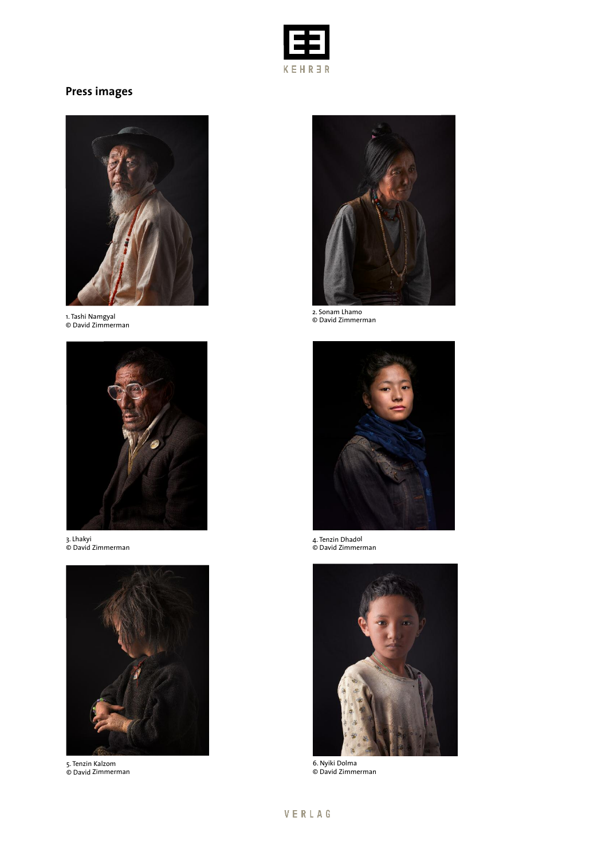

# **Press images**



1. Tashi Namgyal © David Zimmerman



3. Lhakyi © David Zimmerman



5. Tenzin Kalzom © David Zimmerman



2. Sonam Lhamo © David Zimmerman



4. Tenzin Dhadol © David Zimmerman



6. Nyiki Dolma © David Zimmerman